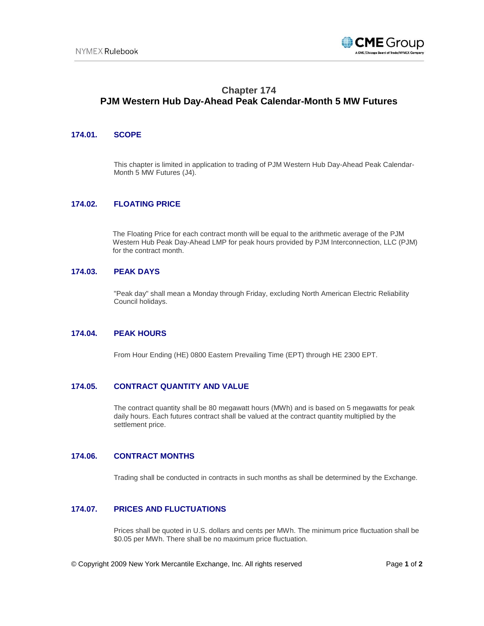

# **Chapter 174 PJM Western Hub Day-Ahead Peak Calendar-Month 5 MW Futures**

#### **174.01. SCOPE**

This chapter is limited in application to trading of PJM Western Hub Day-Ahead Peak Calendar-Month 5 MW Futures (J4).

## **174.02. FLOATING PRICE**

The Floating Price for each contract month will be equal to the arithmetic average of the PJM Western Hub Peak Day-Ahead LMP for peak hours provided by PJM Interconnection, LLC (PJM) for the contract month.

#### **174.03. PEAK DAYS**

"Peak day" shall mean a Monday through Friday, excluding North American Electric Reliability Council holidays.

#### **174.04. PEAK HOURS**

From Hour Ending (HE) 0800 Eastern Prevailing Time (EPT) through HE 2300 EPT.

#### **174.05. CONTRACT QUANTITY AND VALUE**

The contract quantity shall be 80 megawatt hours (MWh) and is based on 5 megawatts for peak daily hours. Each futures contract shall be valued at the contract quantity multiplied by the settlement price.

## **174.06. CONTRACT MONTHS**

Trading shall be conducted in contracts in such months as shall be determined by the Exchange.

## **174.07. PRICES AND FLUCTUATIONS**

Prices shall be quoted in U.S. dollars and cents per MWh. The minimum price fluctuation shall be \$0.05 per MWh. There shall be no maximum price fluctuation.

© Copyright 2009 New York Mercantile Exchange, Inc. All rights reserved Page **1** of **2**